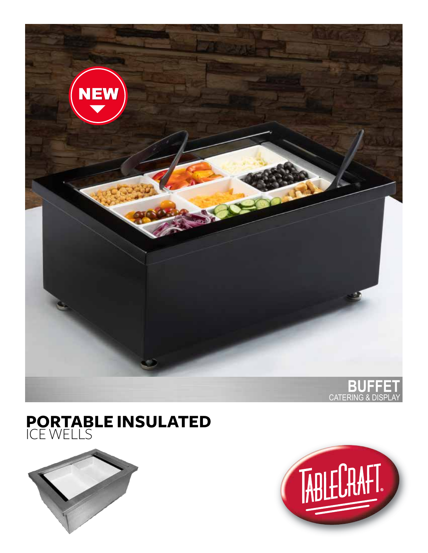

# **PORTABLE INSULATED** ICE WELLS



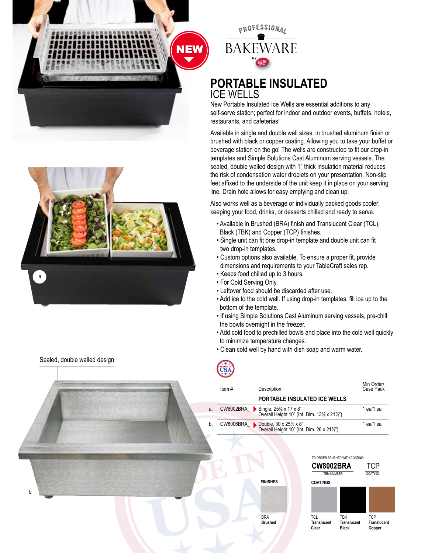

**NEW** 

### **PORTABLE INSULATED** ICE WELLS

New Portable Insulated Ice Wells are essential additions to any self-serve station; perfect for indoor and outdoor events, buffets, hotels, restaurants, and cafeterias!

Available in single and double well sizes, in brushed aluminum finish or brushed with black or copper coating. Allowing you to take your buffet or beverage station on the go! The wells are constructed to fit our drop-in templates and Simple Solutions Cast Aluminum serving vessels. The sealed, double walled design with 1" thick insulation material reduces the risk of condensation water droplets on your presentation. Non-slip feet affixed to the underside of the unit keep it in place on your serving line. Drain hole allows for easy emptying and clean up.

Also works well as a beverage or individually packed goods cooler; keeping your food, drinks, or desserts chilled and ready to serve.

- Available in Brushed (BRA) finish and Translucent Clear (TCL), Black (TBK) and Copper (TCP) finishes.
- Single unit can fit one drop-in template and double unit can fit two drop-in templates.
- Custom options also available. To ensure a proper fit, provide dimensions and requirements to your TableCraft sales rep.
- Keeps food chilled up to 3 hours.
- For Cold Serving Only.
- Leftover food should be discarded after use.

**FINISHES**

BRA **Brushed** 

- Add ice to the cold well. If using drop-in templates, fill ice up to the bottom of the template.
- If using Simple Solutions Cast Aluminum serving vessels, pre-chill the bowls overnight in the freezer.
- Add cold food to prechilled bowls and place into the cold well quickly to minimize temperature changes.
- Clean cold well by hand with dish soap and warm water.



|    | Item# | Description                                                                               | Min Order/<br>Case Pack |
|----|-------|-------------------------------------------------------------------------------------------|-------------------------|
|    |       | PORTABLE INSULATED ICE WELLS                                                              |                         |
| a. |       | CW8002BRA_ Single, 25% x 17 x 8"<br>Overall Height 10" (Int. Dim. 13% x 21%")             | 1 ea/1 ea               |
| b. |       | CW8006BRA Double, $30 \times 25\% \times 8^4$<br>Overall Height 10" (Int. Dim. 26 x 21%") | 1 ea/1 ea               |







b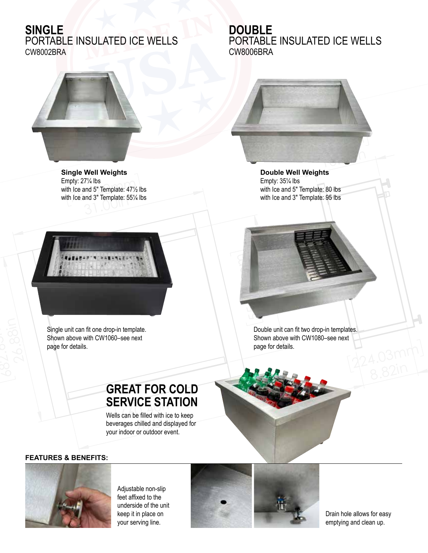## **SINGLE**

PORTABLE INSULATED ICE WELLS CW8002BRA



pty: 27 ⁄4 lbs<br>ק Ice and 5" Template: 47½<br>ק Ice and 3" Template: 55½ with Ice and 3" Template: 55¼ lbs<br>———————————————————— **Single Well Weights** Empty: 27¼ lbs with Ice and 5" Template: 47½ lbs



10.00 **Double Well Weights** Empty: 35¼ lbs with Ice and 5" Template: 80 lbs with Ice and 3" Template: 95 lbs

254m<sup>m</sup>



Single unit can fit one drop-in template. Shown above with CW1060–see next page for details.



Double unit can fit two drop-in templates. Shown above with CW1080–see next page for details.



### **FEATURES & BENEFITS:**



Adjustable non-slip feet affixed to the underside of the unit keep it in place on your serving line.

**SERVICE STATION**<br>Wells can be filled with ice to keep

**GREAT FOR COLD** 

Wells can be filled with ice to keep<br>beverages chilled and displayed for<br>vour indoor or outdoor event

your indoor or outdoor event.

Wells can be filled with ice to keep



Drain hole allows for easy emptying and clean up.